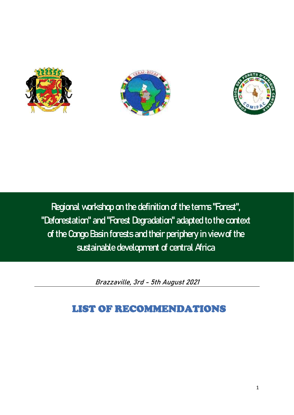





**Regional workshop on the definition of the terms "Forest", "Deforestation" and "Forest Degradation" adapted to the context of the Congo Basin forests and their periphery in view of the sustainable development of central Africa**

**Brazzaville, 3rd - 5th August 2021**

# LIST OF RECOMMENDATIONS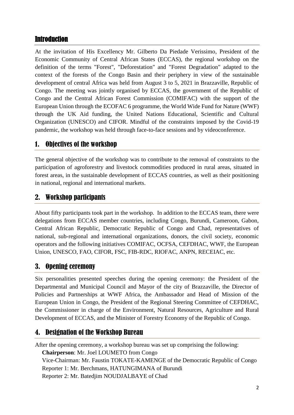## Introduction

At the invitation of His Excellency Mr. Gilberto Da Piedade Verissimo, President of the Economic Community of Central African States (ECCAS), the regional workshop on the definition of the terms "Forest", "Deforestation" and "Forest Degradation" adapted to the context of the forests of the Congo Basin and their periphery in view of the sustainable development of central Africa was held from August 3 to 5, 2021 in Brazzaville, Republic of Congo. The meeting was jointly organised by ECCAS, the government of the Republic of Congo and the Central African Forest Commission (COMIFAC) with the support of the European Union through the ECOFAC 6 programme, the World Wide Fund for Nature (WWF) through the UK Aid funding, the United Nations Educational, Scientific and Cultural Organization (UNESCO) and CIFOR. Mindful of the constraints imposed by the Covid-19 pandemic, the workshop was held through face-to-face sessions and by videoconference.

# 1. Objectives of the workshop

The general objective of the workshop was to contribute to the removal of constraints to the participation of agroforestry and livestock commodities produced in rural areas, situated in forest areas, in the sustainable development of ECCAS countries, as well as their positioning in national, regional and international markets.

# 2. Workshop participants

About fifty participants took part in the workshop. In addition to the ECCAS team, there were delegations from ECCAS member countries, including Congo, Burundi, Cameroon, Gabon, Central African Republic, Democratic Republic of Congo and Chad, representatives of national, sub-regional and international organizations, donors, the civil society, economic operators and the following initiatives COMIFAC, OCFSA, CEFDHAC, WWF, the European Union, UNESCO, FAO, CIFOR, FSC, FIB-RDC, RIOFAC, ANPN, RECEIAC, etc.

## 3. Opening ceremony

Six personalities presented speeches during the opening ceremony: the President of the Departmental and Municipal Council and Mayor of the city of Brazzaville, the Director of Policies and Partnerships at WWF Africa, the Ambassador and Head of Mission of the European Union in Congo, the President of the Regional Steering Committee of CEFDHAC, the Commissioner in charge of the Environment, Natural Resources, Agriculture and Rural Development of ECCAS, and the Minister of Forestry Economy of the Republic of Congo.

# 4. Designation of the Workshop Bureau

After the opening ceremony, a workshop bureau was set up comprising the following: **Chairperson**: Mr. Joel LOUMETO from Congo Vice-Chairman: Mr. Faustin TOKATE-KAMENGE of the Democratic Republic of Congo Reporter 1: Mr. Berchmans, HATUNGIMANA of Burundi Reporter 2: Mr. Batedjim NOUDJALBAYE of Chad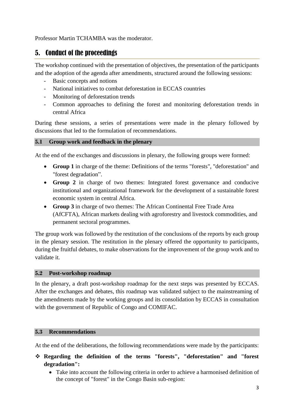Professor Martin TCHAMBA was the moderator.

# 5. Conduct of the proceedings

The workshop continued with the presentation of objectives, the presentation of the participants and the adoption of the agenda after amendments, structured around the following sessions:

- Basic concepts and notions
- National initiatives to combat deforestation in ECCAS countries
- Monitoring of deforestation trends
- Common approaches to defining the forest and monitoring deforestation trends in central Africa

During these sessions, a series of presentations were made in the plenary followed by discussions that led to the formulation of recommendations.

#### **5.1 Group work and feedback in the plenary**

At the end of the exchanges and discussions in plenary, the following groups were formed:

- **Group 1** in charge of the theme: Definitions of the terms "forests", "deforestation" and "forest degradation".
- **Group 2** in charge of two themes: Integrated forest governance and conducive institutional and organizational framework for the development of a sustainable forest economic system in central Africa.
- **Group 3** in charge of two themes: The African Continental Free Trade Area (AfCFTA), African markets dealing with agroforestry and livestock commodities, and permanent sectoral programmes.

The group work was followed by the restitution of the conclusions of the reports by each group in the plenary session. The restitution in the plenary offered the opportunity to participants, during the fruitful debates, to make observations for the improvement of the group work and to validate it.

#### **5.2 Post-workshop roadmap**

In the plenary, a draft post-workshop roadmap for the next steps was presented by ECCAS. After the exchanges and debates, this roadmap was validated subject to the mainstreaming of the amendments made by the working groups and its consolidation by ECCAS in consultation with the government of Republic of Congo and COMIFAC.

#### **5.3 Recommendations**

At the end of the deliberations, the following recommendations were made by the participants:

- **Regarding the definition of the terms "forests", "deforestation" and "forest degradation":**
	- Take into account the following criteria in order to achieve a harmonised definition of the concept of "forest" in the Congo Basin sub-region: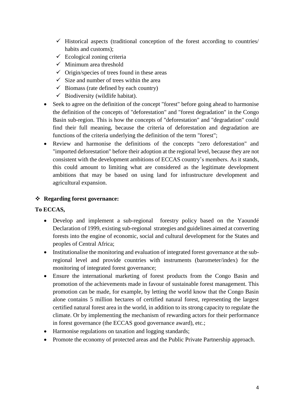- $\checkmark$  Historical aspects (traditional conception of the forest according to countries) habits and customs);
- $\checkmark$  Ecological zoning criteria
- $\checkmark$  Minimum area threshold
- $\checkmark$  Origin/species of trees found in these areas
- $\checkmark$  Size and number of trees within the area
- $\checkmark$  Biomass (rate defined by each country)
- $\checkmark$  Biodiversity (wildlife habitat).
- Seek to agree on the definition of the concept "forest" before going ahead to harmonise the definition of the concepts of "deforestation" and "forest degradation" in the Congo Basin sub-region. This is how the concepts of "deforestation" and "degradation" could find their full meaning, because the criteria of deforestation and degradation are functions of the criteria underlying the definition of the term "forest";
- Review and harmonise the definitions of the concepts "zero deforestation" and "imported deforestation" before their adoption at the regional level, because they are not consistent with the development ambitions of ECCAS country's members. As it stands, this could amount to limiting what are considered as the legitimate development ambitions that may be based on using land for infrastructure development and agricultural expansion.

### **Regarding forest governance:**

### **To ECCAS,**

- Develop and implement a sub-regional forestry policy based on the Yaoundé Declaration of 1999, existing sub-regional strategies and guidelines aimed at converting forests into the engine of economic, social and cultural development for the States and peoples of Central Africa;
- Institutionalise the monitoring and evaluation of integrated forest governance at the subregional level and provide countries with instruments (barometer/index) for the monitoring of integrated forest governance;
- Ensure the international marketing of forest products from the Congo Basin and promotion of the achievements made in favour of sustainable forest management. This promotion can be made, for example, by letting the world know that the Congo Basin alone contains 5 million hectares of certified natural forest, representing the largest certified natural forest area in the world, in addition to its strong capacity to regulate the climate. Or by implementing the mechanism of rewarding actors for their performance in forest governance (the ECCAS good governance award), etc.;
- Harmonise regulations on taxation and logging standards;
- Promote the economy of protected areas and the Public Private Partnership approach.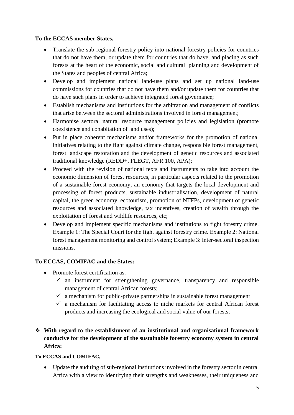#### **To the ECCAS member States,**

- Translate the sub-regional forestry policy into national forestry policies for countries that do not have them, or update them for countries that do have, and placing as such forests at the heart of the economic, social and cultural planning and development of the States and peoples of central Africa;
- Develop and implement national land-use plans and set up national land-use commissions for countries that do not have them and/or update them for countries that do have such plans in order to achieve integrated forest governance;
- Establish mechanisms and institutions for the arbitration and management of conflicts that arise between the sectoral administrations involved in forest management;
- Harmonise sectoral natural resource management policies and legislation (promote coexistence and cohabitation of land uses);
- Put in place coherent mechanisms and/or frameworks for the promotion of national initiatives relating to the fight against climate change, responsible forest management, forest landscape restoration and the development of genetic resources and associated traditional knowledge (REDD+, FLEGT, AFR 100, APA);
- Proceed with the revision of national texts and instruments to take into account the economic dimension of forest resources, in particular aspects related to the promotion of a sustainable forest economy; an economy that targets the local development and processing of forest products, sustainable industrialisation, development of natural capital, the green economy, ecotourism, promotion of NTFPs, development of genetic resources and associated knowledge, tax incentives, creation of wealth through the exploitation of forest and wildlife resources, etc;
- Develop and implement specific mechanisms and institutions to fight forestry crime. Example 1: The Special Court for the fight against forestry crime. Example 2: National forest management monitoring and control system; Example 3: Inter-sectoral inspection missions.

### **To ECCAS, COMIFAC and the States:**

- Promote forest certification as:
	- $\checkmark$  an instrument for strengthening governance, transparency and responsible management of central African forests;
	- $\checkmark$  a mechanism for public-private partnerships in sustainable forest management
	- $\checkmark$  a mechanism for facilitating access to niche markets for central African forest products and increasing the ecological and social value of our forests;

## **With regard to the establishment of an institutional and organisational framework conducive for the development of the sustainable forestry economy system in central Africa:**

#### **To ECCAS and COMIFAC,**

 Update the auditing of sub-regional institutions involved in the forestry sector in central Africa with a view to identifying their strengths and weaknesses, their uniqueness and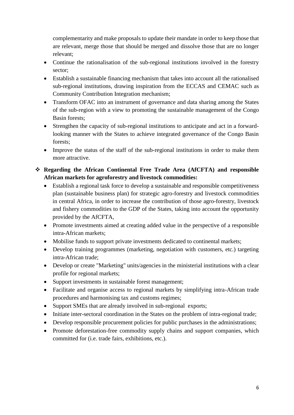complementarity and make proposals to update their mandate in order to keep those that are relevant, merge those that should be merged and dissolve those that are no longer relevant;

- Continue the rationalisation of the sub-regional institutions involved in the forestry sector;
- Establish a sustainable financing mechanism that takes into account all the rationalised sub-regional institutions, drawing inspiration from the ECCAS and CEMAC such as Community Contribution Integration mechanism;
- Transform OFAC into an instrument of governance and data sharing among the States of the sub-region with a view to promoting the sustainable management of the Congo Basin forests;
- Strengthen the capacity of sub-regional institutions to anticipate and act in a forwardlooking manner with the States to achieve integrated governance of the Congo Basin forests;
- Improve the status of the staff of the sub-regional institutions in order to make them more attractive.

## **Regarding the African Continental Free Trade Area (AfCFTA) and responsible African markets for agroforestry and livestock commodities:**

- Establish a regional task force to develop a sustainable and responsible competitiveness plan (sustainable business plan) for strategic agro-forestry and livestock commodities in central Africa, in order to increase the contribution of those agro-forestry, livestock and fishery commodities to the GDP of the States, taking into account the opportunity provided by the AfCFTA,
- Promote investments aimed at creating added value in the perspective of a responsible intra-African markets;
- Mobilise funds to support private investments dedicated to continental markets;
- Develop training programmes (marketing, negotiation with customers, etc.) targeting intra-African trade;
- Develop or create "Marketing" units/agencies in the ministerial institutions with a clear profile for regional markets;
- Support investments in sustainable forest management;
- Facilitate and organise access to regional markets by simplifying intra-African trade procedures and harmonising tax and customs regimes;
- Support SMEs that are already involved in sub-regional exports;
- Initiate inter-sectoral coordination in the States on the problem of intra-regional trade;
- Develop responsible procurement policies for public purchases in the administrations;
- Promote deforestation-free commodity supply chains and support companies, which committed for (i.e. trade fairs, exhibitions, etc.).